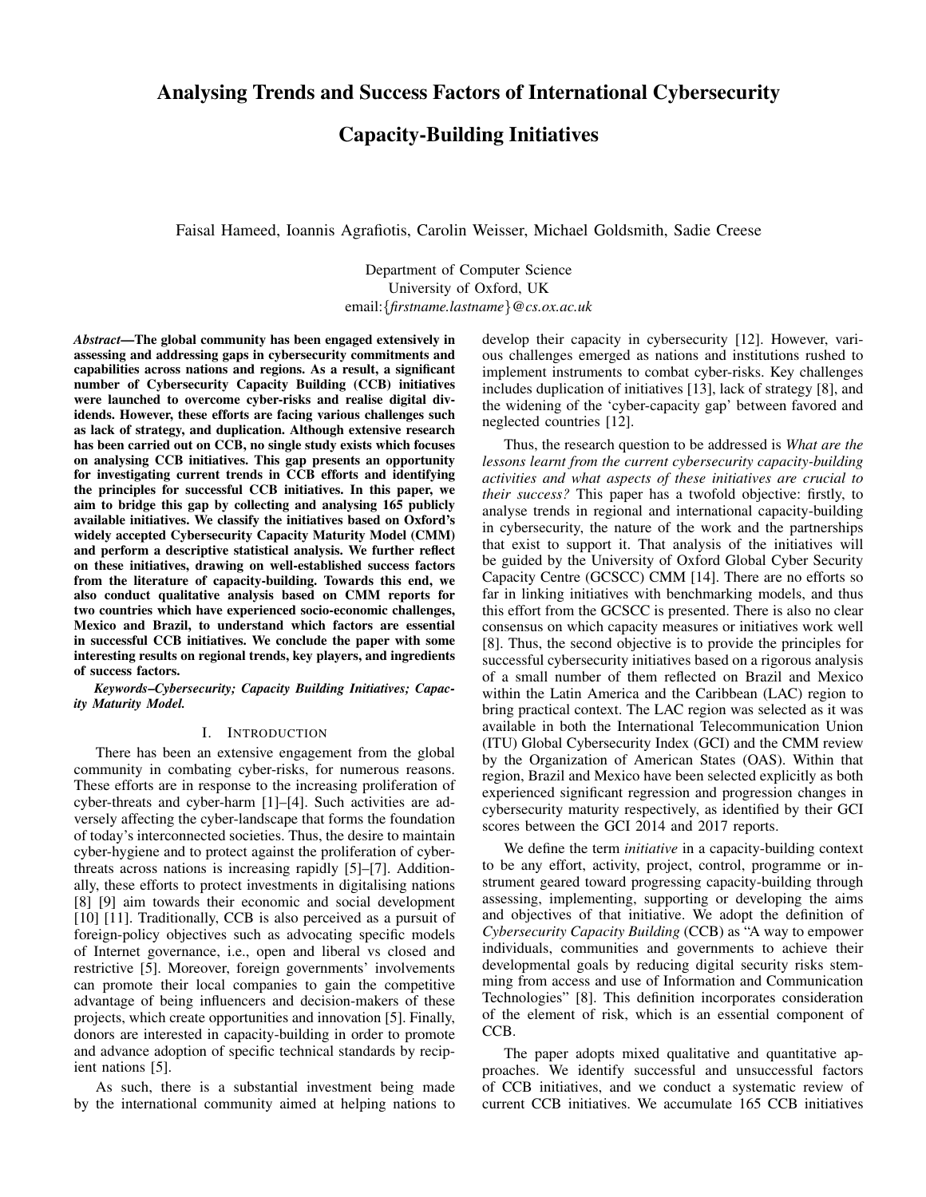# Capacity-Building Initiatives

Faisal Hameed, Ioannis Agrafiotis, Carolin Weisser, Michael Goldsmith, Sadie Creese

Department of Computer Science University of Oxford, UK email:{*firstname.lastname*}*@cs.ox.ac.uk*

*Abstract*—The global community has been engaged extensively in assessing and addressing gaps in cybersecurity commitments and capabilities across nations and regions. As a result, a significant number of Cybersecurity Capacity Building (CCB) initiatives were launched to overcome cyber-risks and realise digital dividends. However, these efforts are facing various challenges such as lack of strategy, and duplication. Although extensive research has been carried out on CCB, no single study exists which focuses on analysing CCB initiatives. This gap presents an opportunity for investigating current trends in CCB efforts and identifying the principles for successful CCB initiatives. In this paper, we aim to bridge this gap by collecting and analysing 165 publicly available initiatives. We classify the initiatives based on Oxford's widely accepted Cybersecurity Capacity Maturity Model (CMM) and perform a descriptive statistical analysis. We further reflect on these initiatives, drawing on well-established success factors from the literature of capacity-building. Towards this end, we also conduct qualitative analysis based on CMM reports for two countries which have experienced socio-economic challenges, Mexico and Brazil, to understand which factors are essential in successful CCB initiatives. We conclude the paper with some interesting results on regional trends, key players, and ingredients of success factors.

*Keywords*–*Cybersecurity; Capacity Building Initiatives; Capacity Maturity Model.*

#### I. INTRODUCTION

There has been an extensive engagement from the global community in combating cyber-risks, for numerous reasons. These efforts are in response to the increasing proliferation of cyber-threats and cyber-harm [1]–[4]. Such activities are adversely affecting the cyber-landscape that forms the foundation of today's interconnected societies. Thus, the desire to maintain cyber-hygiene and to protect against the proliferation of cyberthreats across nations is increasing rapidly [5]–[7]. Additionally, these efforts to protect investments in digitalising nations [8] [9] aim towards their economic and social development [10] [11]. Traditionally, CCB is also perceived as a pursuit of foreign-policy objectives such as advocating specific models of Internet governance, i.e., open and liberal vs closed and restrictive [5]. Moreover, foreign governments' involvements can promote their local companies to gain the competitive advantage of being influencers and decision-makers of these projects, which create opportunities and innovation [5]. Finally, donors are interested in capacity-building in order to promote and advance adoption of specific technical standards by recipient nations [5].

As such, there is a substantial investment being made by the international community aimed at helping nations to develop their capacity in cybersecurity [12]. However, various challenges emerged as nations and institutions rushed to implement instruments to combat cyber-risks. Key challenges includes duplication of initiatives [13], lack of strategy [8], and the widening of the 'cyber-capacity gap' between favored and neglected countries [12].

Thus, the research question to be addressed is *What are the lessons learnt from the current cybersecurity capacity-building activities and what aspects of these initiatives are crucial to their success?* This paper has a twofold objective: firstly, to analyse trends in regional and international capacity-building in cybersecurity, the nature of the work and the partnerships that exist to support it. That analysis of the initiatives will be guided by the University of Oxford Global Cyber Security Capacity Centre (GCSCC) CMM [14]. There are no efforts so far in linking initiatives with benchmarking models, and thus this effort from the GCSCC is presented. There is also no clear consensus on which capacity measures or initiatives work well [8]. Thus, the second objective is to provide the principles for successful cybersecurity initiatives based on a rigorous analysis of a small number of them reflected on Brazil and Mexico within the Latin America and the Caribbean (LAC) region to bring practical context. The LAC region was selected as it was available in both the International Telecommunication Union (ITU) Global Cybersecurity Index (GCI) and the CMM review by the Organization of American States (OAS). Within that region, Brazil and Mexico have been selected explicitly as both experienced significant regression and progression changes in cybersecurity maturity respectively, as identified by their GCI scores between the GCI 2014 and 2017 reports.

We define the term *initiative* in a capacity-building context to be any effort, activity, project, control, programme or instrument geared toward progressing capacity-building through assessing, implementing, supporting or developing the aims and objectives of that initiative. We adopt the definition of *Cybersecurity Capacity Building* (CCB) as "A way to empower individuals, communities and governments to achieve their developmental goals by reducing digital security risks stemming from access and use of Information and Communication Technologies" [8]. This definition incorporates consideration of the element of risk, which is an essential component of CCB.

The paper adopts mixed qualitative and quantitative approaches. We identify successful and unsuccessful factors of CCB initiatives, and we conduct a systematic review of current CCB initiatives. We accumulate 165 CCB initiatives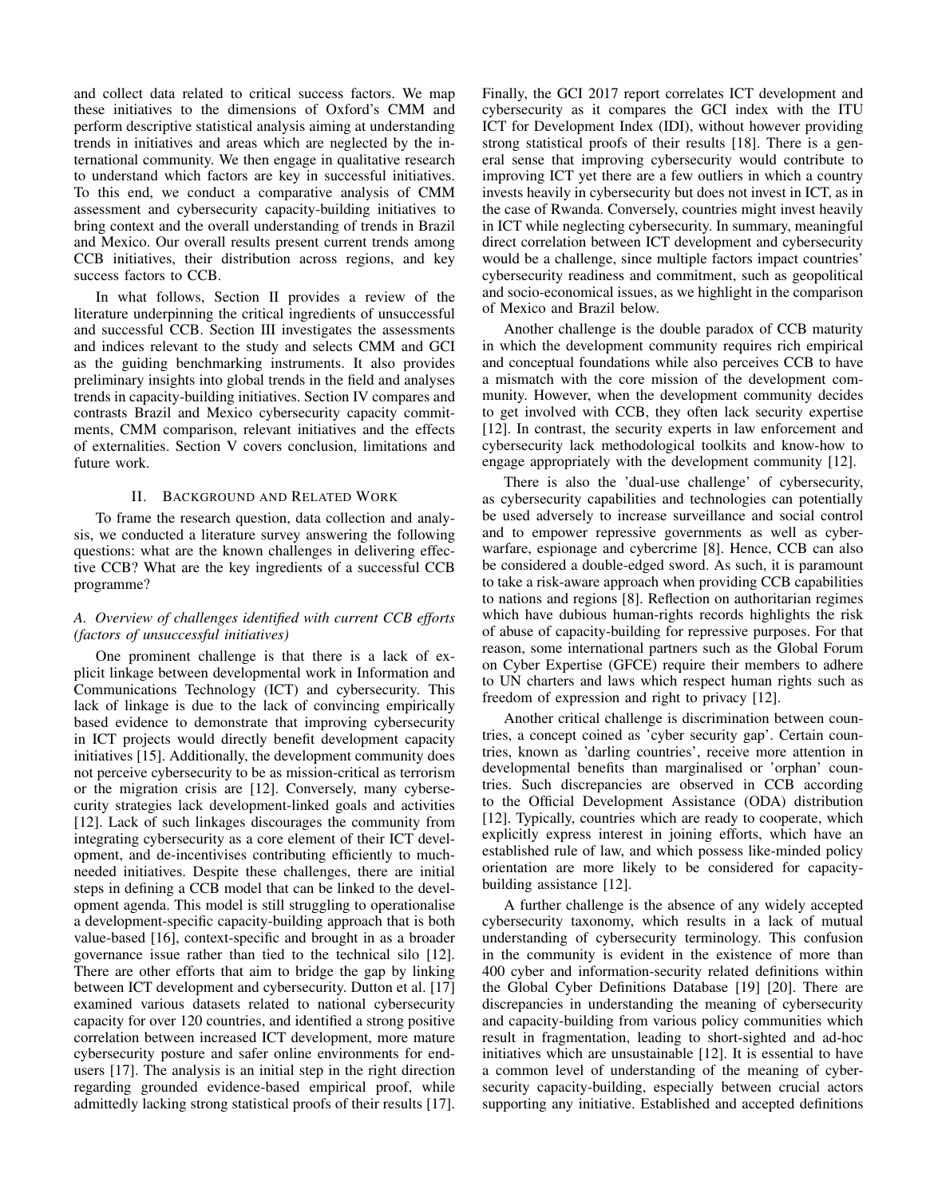and collect data related to critical success factors. We map these initiatives to the dimensions of Oxford's CMM and perform descriptive statistical analysis aiming at understanding trends in initiatives and areas which are neglected by the international community. We then engage in qualitative research to understand which factors are key in successful initiatives. To this end, we conduct a comparative analysis of CMM assessment and cybersecurity capacity-building initiatives to bring context and the overall understanding of trends in Brazil and Mexico. Our overall results present current trends among CCB initiatives, their distribution across regions, and key success factors to CCB.

In what follows, Section II provides a review of the literature underpinning the critical ingredients of unsuccessful and successful CCB. Section III investigates the assessments and indices relevant to the study and selects CMM and GCI as the guiding benchmarking instruments. It also provides preliminary insights into global trends in the field and analyses trends in capacity-building initiatives. Section IV compares and contrasts Brazil and Mexico cybersecurity capacity commitments, CMM comparison, relevant initiatives and the effects of externalities. Section V covers conclusion, limitations and future work.

## II. BACKGROUND AND RELATED WORK

To frame the research question, data collection and analysis, we conducted a literature survey answering the following questions: what are the known challenges in delivering effective CCB? What are the key ingredients of a successful CCB programme?

# *A. Overview of challenges identified with current CCB efforts (factors of unsuccessful initiatives)*

One prominent challenge is that there is a lack of explicit linkage between developmental work in Information and Communications Technology (ICT) and cybersecurity. This lack of linkage is due to the lack of convincing empirically based evidence to demonstrate that improving cybersecurity in ICT projects would directly benefit development capacity initiatives [15]. Additionally, the development community does not perceive cybersecurity to be as mission-critical as terrorism or the migration crisis are [12]. Conversely, many cybersecurity strategies lack development-linked goals and activities [12]. Lack of such linkages discourages the community from integrating cybersecurity as a core element of their ICT development, and de-incentivises contributing efficiently to muchneeded initiatives. Despite these challenges, there are initial steps in defining a CCB model that can be linked to the development agenda. This model is still struggling to operationalise a development-specific capacity-building approach that is both value-based [16], context-specific and brought in as a broader governance issue rather than tied to the technical silo [12]. There are other efforts that aim to bridge the gap by linking between ICT development and cybersecurity. Dutton et al. [17] examined various datasets related to national cybersecurity capacity for over 120 countries, and identified a strong positive correlation between increased ICT development, more mature cybersecurity posture and safer online environments for endusers [17]. The analysis is an initial step in the right direction regarding grounded evidence-based empirical proof, while admittedly lacking strong statistical proofs of their results [17]. Finally, the GCI 2017 report correlates ICT development and cybersecurity as it compares the GCI index with the ITU ICT for Development Index (IDI), without however providing strong statistical proofs of their results [18]. There is a general sense that improving cybersecurity would contribute to improving ICT yet there are a few outliers in which a country invests heavily in cybersecurity but does not invest in ICT, as in the case of Rwanda. Conversely, countries might invest heavily in ICT while neglecting cybersecurity. In summary, meaningful direct correlation between ICT development and cybersecurity would be a challenge, since multiple factors impact countries' cybersecurity readiness and commitment, such as geopolitical and socio-economical issues, as we highlight in the comparison of Mexico and Brazil below.

Another challenge is the double paradox of CCB maturity in which the development community requires rich empirical and conceptual foundations while also perceives CCB to have a mismatch with the core mission of the development community. However, when the development community decides to get involved with CCB, they often lack security expertise [12]. In contrast, the security experts in law enforcement and cybersecurity lack methodological toolkits and know-how to engage appropriately with the development community [12].

There is also the 'dual-use challenge' of cybersecurity, as cybersecurity capabilities and technologies can potentially be used adversely to increase surveillance and social control and to empower repressive governments as well as cyberwarfare, espionage and cybercrime [8]. Hence, CCB can also be considered a double-edged sword. As such, it is paramount to take a risk-aware approach when providing CCB capabilities to nations and regions [8]. Reflection on authoritarian regimes which have dubious human-rights records highlights the risk of abuse of capacity-building for repressive purposes. For that reason, some international partners such as the Global Forum on Cyber Expertise (GFCE) require their members to adhere to UN charters and laws which respect human rights such as freedom of expression and right to privacy [12].

Another critical challenge is discrimination between countries, a concept coined as 'cyber security gap'. Certain countries, known as 'darling countries', receive more attention in developmental benefits than marginalised or 'orphan' countries. Such discrepancies are observed in CCB according to the Official Development Assistance (ODA) distribution [12]. Typically, countries which are ready to cooperate, which explicitly express interest in joining efforts, which have an established rule of law, and which possess like-minded policy orientation are more likely to be considered for capacitybuilding assistance [12].

A further challenge is the absence of any widely accepted cybersecurity taxonomy, which results in a lack of mutual understanding of cybersecurity terminology. This confusion in the community is evident in the existence of more than 400 cyber and information-security related definitions within the Global Cyber Definitions Database [19] [20]. There are discrepancies in understanding the meaning of cybersecurity and capacity-building from various policy communities which result in fragmentation, leading to short-sighted and ad-hoc initiatives which are unsustainable [12]. It is essential to have a common level of understanding of the meaning of cybersecurity capacity-building, especially between crucial actors supporting any initiative. Established and accepted definitions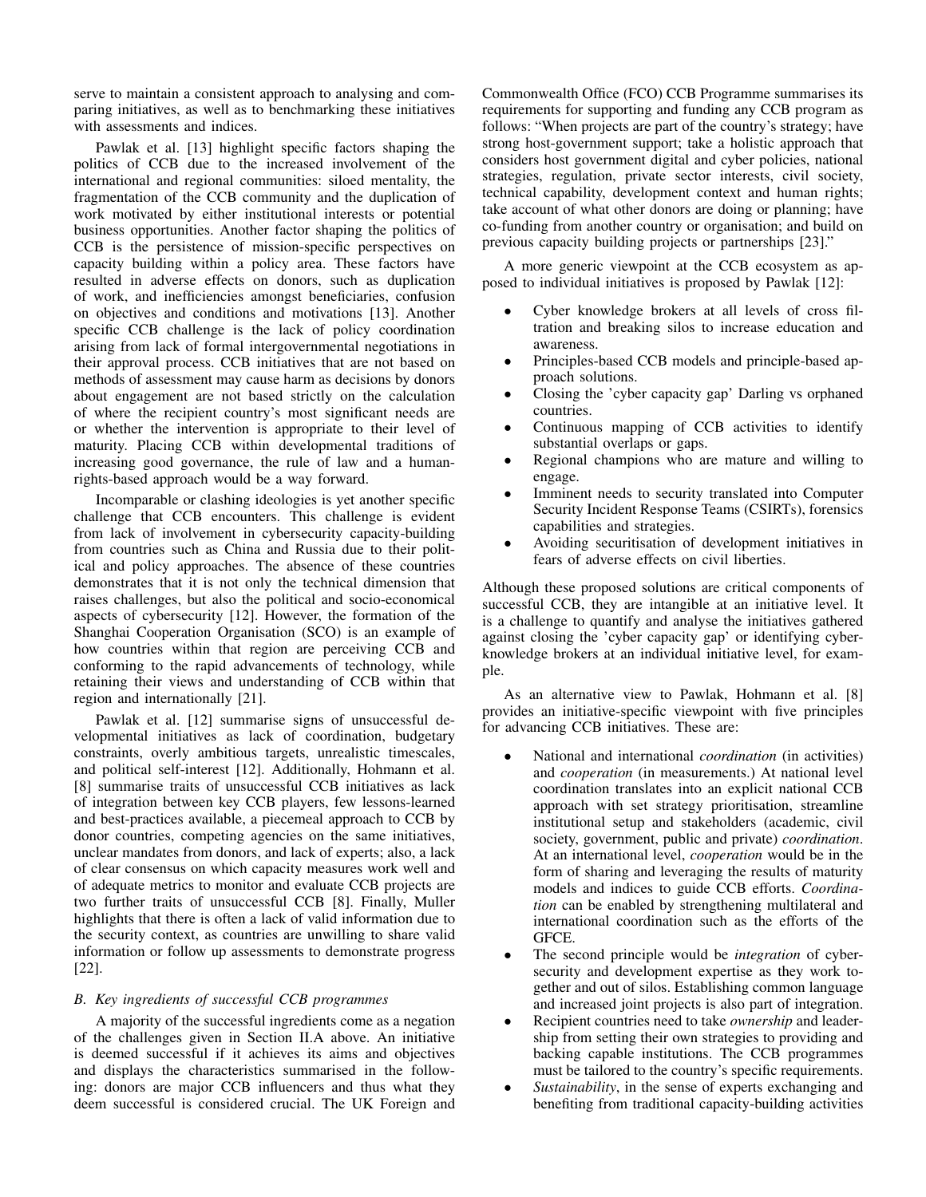serve to maintain a consistent approach to analysing and comparing initiatives, as well as to benchmarking these initiatives with assessments and indices.

Pawlak et al. [13] highlight specific factors shaping the politics of CCB due to the increased involvement of the international and regional communities: siloed mentality, the fragmentation of the CCB community and the duplication of work motivated by either institutional interests or potential business opportunities. Another factor shaping the politics of CCB is the persistence of mission-specific perspectives on capacity building within a policy area. These factors have resulted in adverse effects on donors, such as duplication of work, and inefficiencies amongst beneficiaries, confusion on objectives and conditions and motivations [13]. Another specific CCB challenge is the lack of policy coordination arising from lack of formal intergovernmental negotiations in their approval process. CCB initiatives that are not based on methods of assessment may cause harm as decisions by donors about engagement are not based strictly on the calculation of where the recipient country's most significant needs are or whether the intervention is appropriate to their level of maturity. Placing CCB within developmental traditions of increasing good governance, the rule of law and a humanrights-based approach would be a way forward.

Incomparable or clashing ideologies is yet another specific challenge that CCB encounters. This challenge is evident from lack of involvement in cybersecurity capacity-building from countries such as China and Russia due to their political and policy approaches. The absence of these countries demonstrates that it is not only the technical dimension that raises challenges, but also the political and socio-economical aspects of cybersecurity [12]. However, the formation of the Shanghai Cooperation Organisation (SCO) is an example of how countries within that region are perceiving CCB and conforming to the rapid advancements of technology, while retaining their views and understanding of CCB within that region and internationally [21].

Pawlak et al. [12] summarise signs of unsuccessful developmental initiatives as lack of coordination, budgetary constraints, overly ambitious targets, unrealistic timescales, and political self-interest [12]. Additionally, Hohmann et al. [8] summarise traits of unsuccessful CCB initiatives as lack of integration between key CCB players, few lessons-learned and best-practices available, a piecemeal approach to CCB by donor countries, competing agencies on the same initiatives, unclear mandates from donors, and lack of experts; also, a lack of clear consensus on which capacity measures work well and of adequate metrics to monitor and evaluate CCB projects are two further traits of unsuccessful CCB [8]. Finally, Muller highlights that there is often a lack of valid information due to the security context, as countries are unwilling to share valid information or follow up assessments to demonstrate progress [22].

# *B. Key ingredients of successful CCB programmes*

A majority of the successful ingredients come as a negation of the challenges given in Section II.A above. An initiative is deemed successful if it achieves its aims and objectives and displays the characteristics summarised in the following: donors are major CCB influencers and thus what they deem successful is considered crucial. The UK Foreign and Commonwealth Office (FCO) CCB Programme summarises its requirements for supporting and funding any CCB program as follows: "When projects are part of the country's strategy; have strong host-government support; take a holistic approach that considers host government digital and cyber policies, national strategies, regulation, private sector interests, civil society, technical capability, development context and human rights; take account of what other donors are doing or planning; have co-funding from another country or organisation; and build on previous capacity building projects or partnerships [23]."

A more generic viewpoint at the CCB ecosystem as apposed to individual initiatives is proposed by Pawlak [12]:

- Cyber knowledge brokers at all levels of cross filtration and breaking silos to increase education and awareness.
- Principles-based CCB models and principle-based approach solutions.
- Closing the 'cyber capacity gap' Darling vs orphaned countries.
- Continuous mapping of CCB activities to identify substantial overlaps or gaps.
- Regional champions who are mature and willing to engage.
- Imminent needs to security translated into Computer Security Incident Response Teams (CSIRTs), forensics capabilities and strategies.
- Avoiding securitisation of development initiatives in fears of adverse effects on civil liberties.

Although these proposed solutions are critical components of successful CCB, they are intangible at an initiative level. It is a challenge to quantify and analyse the initiatives gathered against closing the 'cyber capacity gap' or identifying cyberknowledge brokers at an individual initiative level, for example.

As an alternative view to Pawlak, Hohmann et al. [8] provides an initiative-specific viewpoint with five principles for advancing CCB initiatives. These are:

- National and international *coordination* (in activities) and *cooperation* (in measurements.) At national level coordination translates into an explicit national CCB approach with set strategy prioritisation, streamline institutional setup and stakeholders (academic, civil society, government, public and private) *coordination*. At an international level, *cooperation* would be in the form of sharing and leveraging the results of maturity models and indices to guide CCB efforts. *Coordination* can be enabled by strengthening multilateral and international coordination such as the efforts of the GFCE.
- The second principle would be *integration* of cybersecurity and development expertise as they work together and out of silos. Establishing common language and increased joint projects is also part of integration.
- Recipient countries need to take *ownership* and leadership from setting their own strategies to providing and backing capable institutions. The CCB programmes must be tailored to the country's specific requirements.
- *Sustainability*, in the sense of experts exchanging and benefiting from traditional capacity-building activities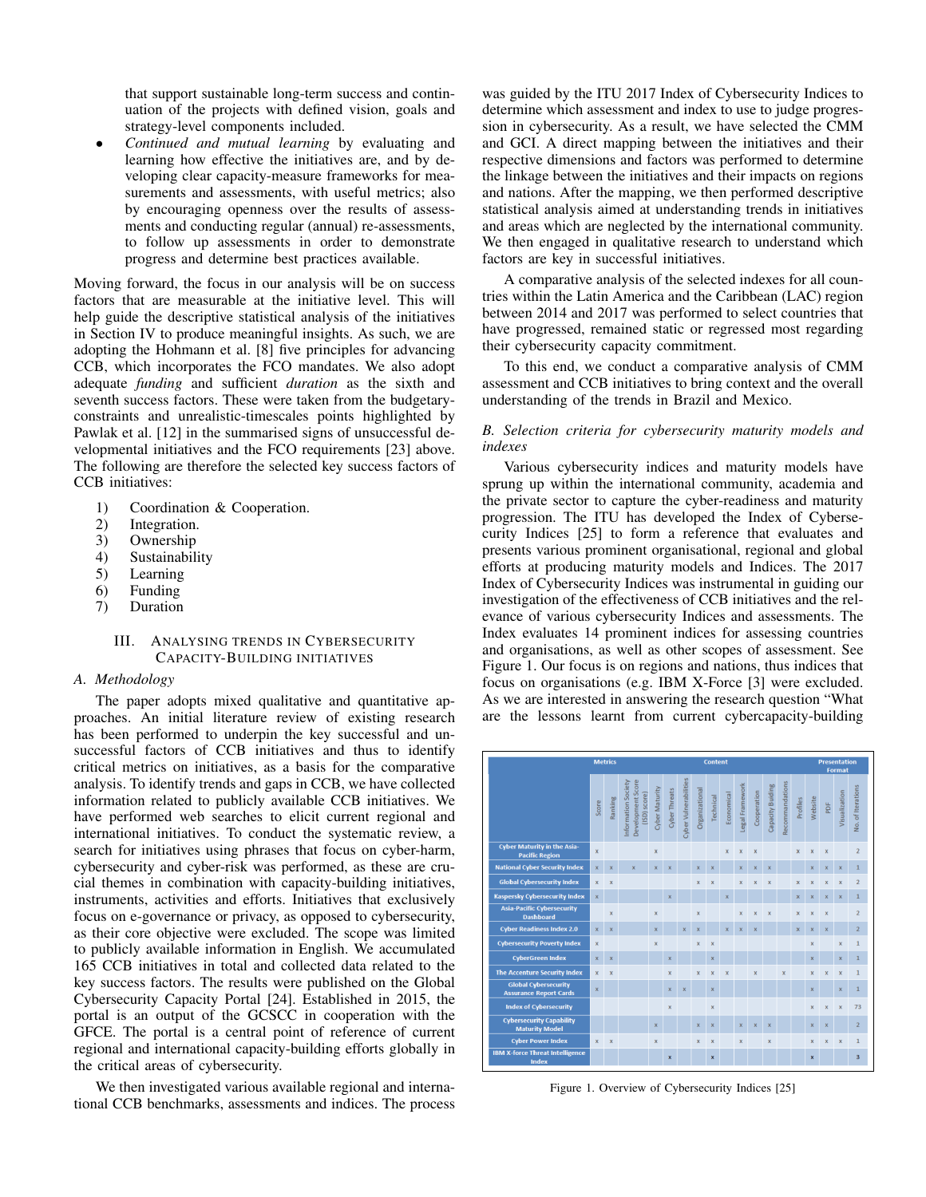that support sustainable long-term success and continuation of the projects with defined vision, goals and strategy-level components included.

• *Continued and mutual learning* by evaluating and learning how effective the initiatives are, and by developing clear capacity-measure frameworks for measurements and assessments, with useful metrics; also by encouraging openness over the results of assessments and conducting regular (annual) re-assessments, to follow up assessments in order to demonstrate progress and determine best practices available.

Moving forward, the focus in our analysis will be on success factors that are measurable at the initiative level. This will help guide the descriptive statistical analysis of the initiatives in Section IV to produce meaningful insights. As such, we are adopting the Hohmann et al. [8] five principles for advancing CCB, which incorporates the FCO mandates. We also adopt adequate *funding* and sufficient *duration* as the sixth and seventh success factors. These were taken from the budgetaryconstraints and unrealistic-timescales points highlighted by Pawlak et al. [12] in the summarised signs of unsuccessful developmental initiatives and the FCO requirements [23] above. The following are therefore the selected key success factors of CCB initiatives:

- 1) Coordination & Cooperation.
- 2) Integration.<br>3) Ownership
- **Ownership**
- 4) Sustainability
- 5) Learning
- 6) Funding
- 7) Duration

# III. ANALYSING TRENDS IN CYBERSECURITY CAPACITY-BUILDING INITIATIVES

### *A. Methodology*

The paper adopts mixed qualitative and quantitative approaches. An initial literature review of existing research has been performed to underpin the key successful and unsuccessful factors of CCB initiatives and thus to identify critical metrics on initiatives, as a basis for the comparative analysis. To identify trends and gaps in CCB, we have collected information related to publicly available CCB initiatives. We have performed web searches to elicit current regional and international initiatives. To conduct the systematic review, a search for initiatives using phrases that focus on cyber-harm, cybersecurity and cyber-risk was performed, as these are crucial themes in combination with capacity-building initiatives, instruments, activities and efforts. Initiatives that exclusively focus on e-governance or privacy, as opposed to cybersecurity, as their core objective were excluded. The scope was limited to publicly available information in English. We accumulated 165 CCB initiatives in total and collected data related to the key success factors. The results were published on the Global Cybersecurity Capacity Portal [24]. Established in 2015, the portal is an output of the GCSCC in cooperation with the GFCE. The portal is a central point of reference of current regional and international capacity-building efforts globally in the critical areas of cybersecurity.

We then investigated various available regional and international CCB benchmarks, assessments and indices. The process was guided by the ITU 2017 Index of Cybersecurity Indices to determine which assessment and index to use to judge progression in cybersecurity. As a result, we have selected the CMM and GCI. A direct mapping between the initiatives and their respective dimensions and factors was performed to determine the linkage between the initiatives and their impacts on regions and nations. After the mapping, we then performed descriptive statistical analysis aimed at understanding trends in initiatives and areas which are neglected by the international community. We then engaged in qualitative research to understand which factors are key in successful initiatives.

A comparative analysis of the selected indexes for all countries within the Latin America and the Caribbean (LAC) region between 2014 and 2017 was performed to select countries that have progressed, remained static or regressed most regarding their cybersecurity capacity commitment.

To this end, we conduct a comparative analysis of CMM assessment and CCB initiatives to bring context and the overall understanding of the trends in Brazil and Mexico.

# *B. Selection criteria for cybersecurity maturity models and indexes*

Various cybersecurity indices and maturity models have sprung up within the international community, academia and the private sector to capture the cyber-readiness and maturity progression. The ITU has developed the Index of Cybersecurity Indices [25] to form a reference that evaluates and presents various prominent organisational, regional and global efforts at producing maturity models and Indices. The 2017 Index of Cybersecurity Indices was instrumental in guiding our investigation of the effectiveness of CCB initiatives and the relevance of various cybersecurity Indices and assessments. The Index evaluates 14 prominent indices for assessing countries and organisations, as well as other scopes of assessment. See Figure 1. Our focus is on regions and nations, thus indices that focus on organisations (e.g. IBM X-Force [3] were excluded. As we are interested in answering the research question "What are the lessons learnt from current cybercapacity-building



Figure 1. Overview of Cybersecurity Indices [25]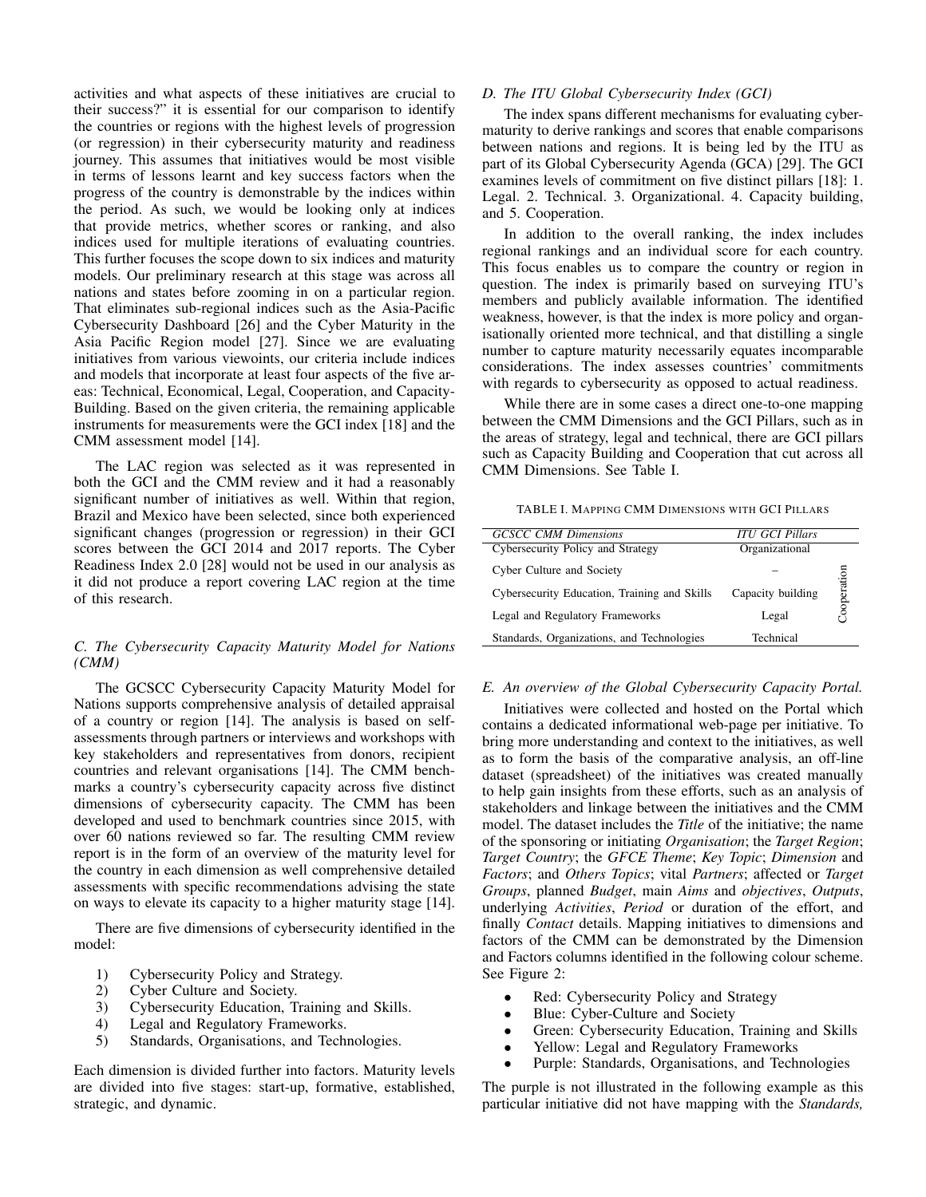activities and what aspects of these initiatives are crucial to their success?" it is essential for our comparison to identify the countries or regions with the highest levels of progression (or regression) in their cybersecurity maturity and readiness journey. This assumes that initiatives would be most visible in terms of lessons learnt and key success factors when the progress of the country is demonstrable by the indices within the period. As such, we would be looking only at indices that provide metrics, whether scores or ranking, and also indices used for multiple iterations of evaluating countries. This further focuses the scope down to six indices and maturity models. Our preliminary research at this stage was across all nations and states before zooming in on a particular region. That eliminates sub-regional indices such as the Asia-Pacific Cybersecurity Dashboard [26] and the Cyber Maturity in the Asia Pacific Region model [27]. Since we are evaluating initiatives from various viewoints, our criteria include indices and models that incorporate at least four aspects of the five areas: Technical, Economical, Legal, Cooperation, and Capacity-Building. Based on the given criteria, the remaining applicable instruments for measurements were the GCI index [18] and the CMM assessment model [14].

The LAC region was selected as it was represented in both the GCI and the CMM review and it had a reasonably significant number of initiatives as well. Within that region, Brazil and Mexico have been selected, since both experienced significant changes (progression or regression) in their GCI scores between the GCI 2014 and 2017 reports. The Cyber Readiness Index 2.0 [28] would not be used in our analysis as it did not produce a report covering LAC region at the time of this research.

# *C. The Cybersecurity Capacity Maturity Model for Nations (CMM)*

The GCSCC Cybersecurity Capacity Maturity Model for Nations supports comprehensive analysis of detailed appraisal of a country or region [14]. The analysis is based on selfassessments through partners or interviews and workshops with key stakeholders and representatives from donors, recipient countries and relevant organisations [14]. The CMM benchmarks a country's cybersecurity capacity across five distinct dimensions of cybersecurity capacity. The CMM has been developed and used to benchmark countries since 2015, with over 60 nations reviewed so far. The resulting CMM review report is in the form of an overview of the maturity level for the country in each dimension as well comprehensive detailed assessments with specific recommendations advising the state on ways to elevate its capacity to a higher maturity stage [14].

There are five dimensions of cybersecurity identified in the model:

- 1) Cybersecurity Policy and Strategy.
- 2) Cyber Culture and Society.
- 3) Cybersecurity Education, Training and Skills.
- 
- 4) Legal and Regulatory Frameworks.<br>5) Standards, Organisations, and Techn 5) Standards, Organisations, and Technologies.

Each dimension is divided further into factors. Maturity levels are divided into five stages: start-up, formative, established, strategic, and dynamic.

### *D. The ITU Global Cybersecurity Index (GCI)*

The index spans different mechanisms for evaluating cybermaturity to derive rankings and scores that enable comparisons between nations and regions. It is being led by the ITU as part of its Global Cybersecurity Agenda (GCA) [29]. The GCI examines levels of commitment on five distinct pillars [18]: 1. Legal. 2. Technical. 3. Organizational. 4. Capacity building, and 5. Cooperation.

In addition to the overall ranking, the index includes regional rankings and an individual score for each country. This focus enables us to compare the country or region in question. The index is primarily based on surveying ITU's members and publicly available information. The identified weakness, however, is that the index is more policy and organisationally oriented more technical, and that distilling a single number to capture maturity necessarily equates incomparable considerations. The index assesses countries' commitments with regards to cybersecurity as opposed to actual readiness.

While there are in some cases a direct one-to-one mapping between the CMM Dimensions and the GCI Pillars, such as in the areas of strategy, legal and technical, there are GCI pillars such as Capacity Building and Cooperation that cut across all CMM Dimensions. See Table I.

TABLE I. MAPPING CMM DIMENSIONS WITH GCI PILLARS

| <b>GCSCC CMM Dimensions</b>                  | <b>ITU GCI Pillars</b> |             |
|----------------------------------------------|------------------------|-------------|
| Cybersecurity Policy and Strategy            | Organizational         |             |
| Cyber Culture and Society                    |                        |             |
| Cybersecurity Education, Training and Skills | Capacity building      | Cooperation |
| Legal and Regulatory Frameworks              | Legal                  |             |
| Standards, Organizations, and Technologies   | Technical              |             |

### *E. An overview of the Global Cybersecurity Capacity Portal.*

Initiatives were collected and hosted on the Portal which contains a dedicated informational web-page per initiative. To bring more understanding and context to the initiatives, as well as to form the basis of the comparative analysis, an off-line dataset (spreadsheet) of the initiatives was created manually to help gain insights from these efforts, such as an analysis of stakeholders and linkage between the initiatives and the CMM model. The dataset includes the *Title* of the initiative; the name of the sponsoring or initiating *Organisation*; the *Target Region*; *Target Country*; the *GFCE Theme*; *Key Topic*; *Dimension* and *Factors*; and *Others Topics*; vital *Partners*; affected or *Target Groups*, planned *Budget*, main *Aims* and *objectives*, *Outputs*, underlying *Activities*, *Period* or duration of the effort, and finally *Contact* details. Mapping initiatives to dimensions and factors of the CMM can be demonstrated by the Dimension and Factors columns identified in the following colour scheme. See Figure 2:

- Red: Cybersecurity Policy and Strategy
- Blue: Cyber-Culture and Society
- Green: Cybersecurity Education, Training and Skills
- Yellow: Legal and Regulatory Frameworks
- Purple: Standards, Organisations, and Technologies

The purple is not illustrated in the following example as this particular initiative did not have mapping with the *Standards,*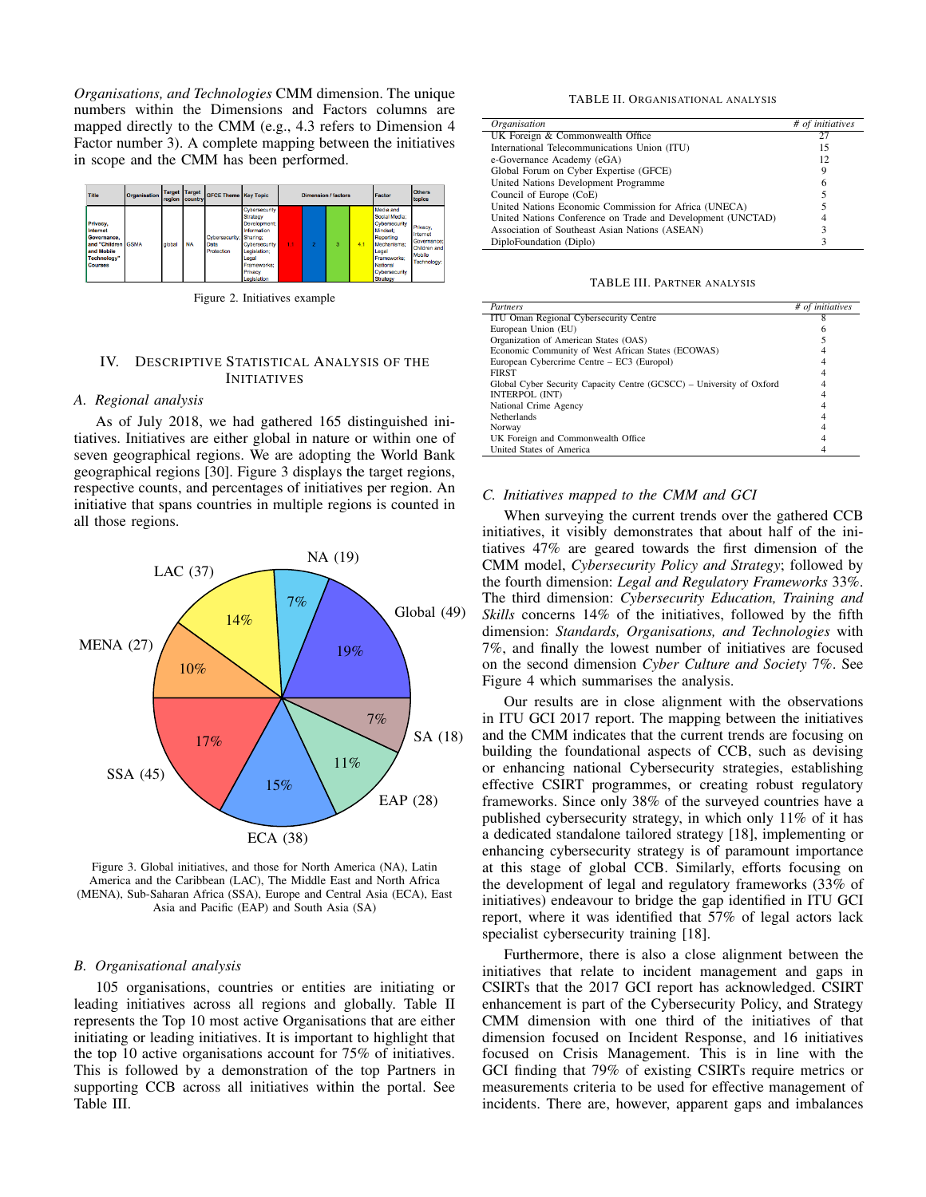*Organisations, and Technologies* CMM dimension. The unique numbers within the Dimensions and Factors columns are mapped directly to the CMM (e.g., 4.3 refers to Dimension 4 Factor number 3). A complete mapping between the initiatives in scope and the CMM has been performed.



Figure 2. Initiatives example

### IV. DESCRIPTIVE STATISTICAL ANALYSIS OF THE INITIATIVES

# *A. Regional analysis*

As of July 2018, we had gathered 165 distinguished initiatives. Initiatives are either global in nature or within one of seven geographical regions. We are adopting the World Bank geographical regions [30]. Figure 3 displays the target regions, respective counts, and percentages of initiatives per region. An initiative that spans countries in multiple regions is counted in all those regions.



Figure 3. Global initiatives, and those for North America (NA), Latin America and the Caribbean (LAC), The Middle East and North Africa (MENA), Sub-Saharan Africa (SSA), Europe and Central Asia (ECA), East Asia and Pacific (EAP) and South Asia (SA)

### *B. Organisational analysis*

105 organisations, countries or entities are initiating or leading initiatives across all regions and globally. Table II represents the Top 10 most active Organisations that are either initiating or leading initiatives. It is important to highlight that the top 10 active organisations account for 75% of initiatives. This is followed by a demonstration of the top Partners in supporting CCB across all initiatives within the portal. See Table III.

#### TABLE II. ORGANISATIONAL ANALYSIS

| <b>Organisation</b>                                         | # of initiatives |
|-------------------------------------------------------------|------------------|
| UK Foreign & Commonwealth Office                            | 27               |
| International Telecommunications Union (ITU)                | 15               |
| e-Governance Academy (eGA)                                  | 12               |
| Global Forum on Cyber Expertise (GFCE)                      | 9                |
| United Nations Development Programme                        | 6                |
| Council of Europe (CoE)                                     |                  |
| United Nations Economic Commission for Africa (UNECA)       |                  |
| United Nations Conference on Trade and Development (UNCTAD) |                  |
| Association of Southeast Asian Nations (ASEAN)              |                  |
| DiploFoundation (Diplo)                                     |                  |

TABLE III. PARTNER ANALYSIS

| Partners                                                             | # of initiatives |
|----------------------------------------------------------------------|------------------|
| ITU Oman Regional Cybersecurity Centre                               |                  |
| European Union (EU)                                                  |                  |
| Organization of American States (OAS)                                |                  |
| Economic Community of West African States (ECOWAS)                   |                  |
| European Cybercrime Centre – EC3 (Europol)                           |                  |
| <b>FIRST</b>                                                         |                  |
| Global Cyber Security Capacity Centre (GCSCC) - University of Oxford |                  |
| INTERPOL (INT)                                                       |                  |
| National Crime Agency                                                |                  |
| <b>Netherlands</b>                                                   |                  |
| Norway                                                               |                  |
| UK Foreign and Commonwealth Office                                   |                  |
| United States of America                                             |                  |

### *C. Initiatives mapped to the CMM and GCI*

When surveying the current trends over the gathered CCB initiatives, it visibly demonstrates that about half of the initiatives 47% are geared towards the first dimension of the CMM model, *Cybersecurity Policy and Strategy*; followed by the fourth dimension: *Legal and Regulatory Frameworks* 33%. The third dimension: *Cybersecurity Education, Training and Skills* concerns 14% of the initiatives, followed by the fifth dimension: *Standards, Organisations, and Technologies* with 7%, and finally the lowest number of initiatives are focused on the second dimension *Cyber Culture and Society* 7%. See Figure 4 which summarises the analysis.

Our results are in close alignment with the observations in ITU GCI 2017 report. The mapping between the initiatives and the CMM indicates that the current trends are focusing on building the foundational aspects of CCB, such as devising or enhancing national Cybersecurity strategies, establishing effective CSIRT programmes, or creating robust regulatory frameworks. Since only 38% of the surveyed countries have a published cybersecurity strategy, in which only 11% of it has a dedicated standalone tailored strategy [18], implementing or enhancing cybersecurity strategy is of paramount importance at this stage of global CCB. Similarly, efforts focusing on the development of legal and regulatory frameworks (33% of initiatives) endeavour to bridge the gap identified in ITU GCI report, where it was identified that 57% of legal actors lack specialist cybersecurity training [18].

Furthermore, there is also a close alignment between the initiatives that relate to incident management and gaps in CSIRTs that the 2017 GCI report has acknowledged. CSIRT enhancement is part of the Cybersecurity Policy, and Strategy CMM dimension with one third of the initiatives of that dimension focused on Incident Response, and 16 initiatives focused on Crisis Management. This is in line with the GCI finding that 79% of existing CSIRTs require metrics or measurements criteria to be used for effective management of incidents. There are, however, apparent gaps and imbalances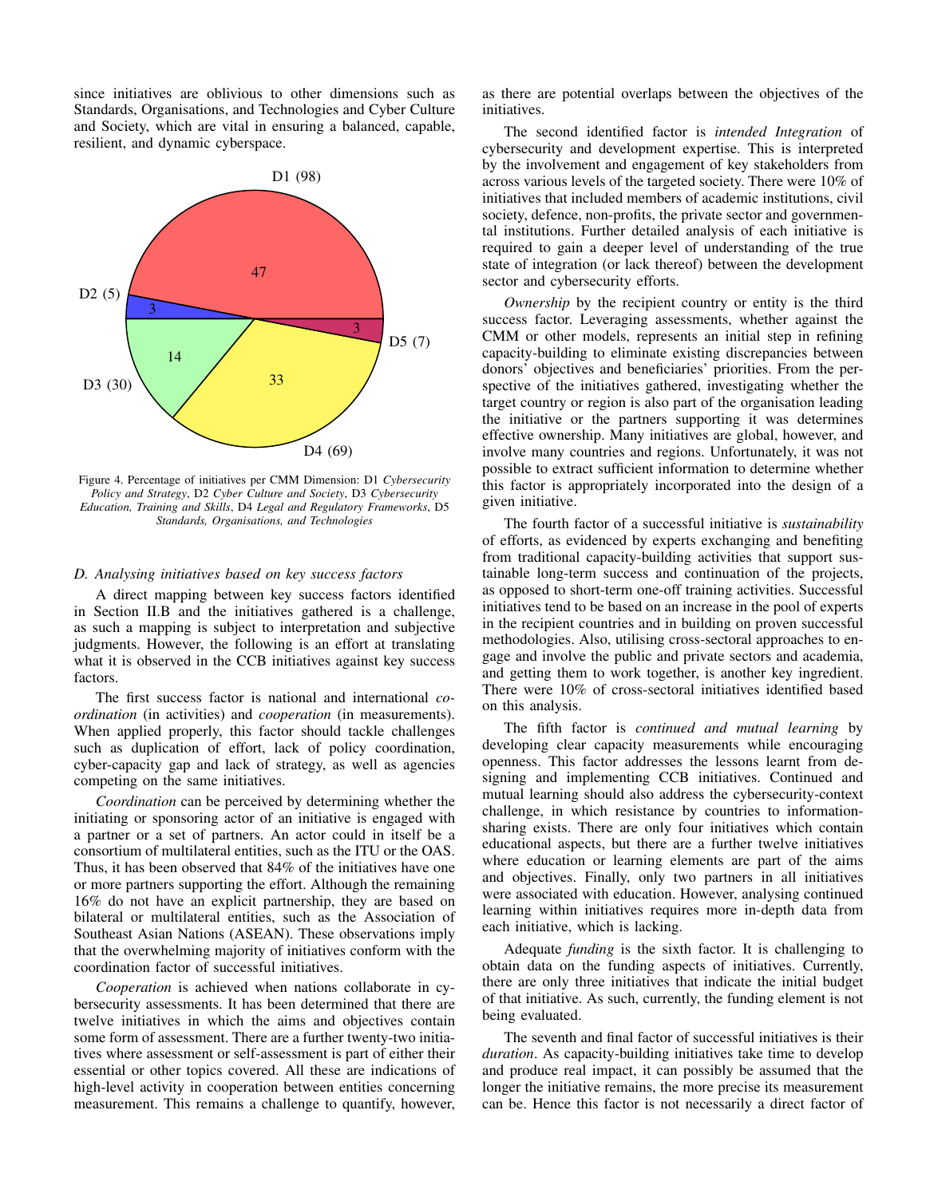since initiatives are oblivious to other dimensions such as Standards, Organisations, and Technologies and Cyber Culture and Society, which are vital in ensuring a balanced, capable, resilient, and dynamic cyberspace.



Figure 4. Percentage of initiatives per CMM Dimension: D1 *Cybersecurity Policy and Strategy*, D2 *Cyber Culture and Society*, D3 *Cybersecurity Education, Training and Skills*, D4 *Legal and Regulatory Frameworks*, D5 *Standards, Organisations, and Technologies*

# *D. Analysing initiatives based on key success factors*

A direct mapping between key success factors identified in Section II.B and the initiatives gathered is a challenge, as such a mapping is subject to interpretation and subjective judgments. However, the following is an effort at translating what it is observed in the CCB initiatives against key success factors.

The first success factor is national and international *coordination* (in activities) and *cooperation* (in measurements). When applied properly, this factor should tackle challenges such as duplication of effort, lack of policy coordination, cyber-capacity gap and lack of strategy, as well as agencies competing on the same initiatives.

*Coordination* can be perceived by determining whether the initiating or sponsoring actor of an initiative is engaged with a partner or a set of partners. An actor could in itself be a consortium of multilateral entities, such as the ITU or the OAS. Thus, it has been observed that 84% of the initiatives have one or more partners supporting the effort. Although the remaining 16% do not have an explicit partnership, they are based on bilateral or multilateral entities, such as the Association of Southeast Asian Nations (ASEAN). These observations imply that the overwhelming majority of initiatives conform with the coordination factor of successful initiatives.

*Cooperation* is achieved when nations collaborate in cybersecurity assessments. It has been determined that there are twelve initiatives in which the aims and objectives contain some form of assessment. There are a further twenty-two initiatives where assessment or self-assessment is part of either their essential or other topics covered. All these are indications of high-level activity in cooperation between entities concerning measurement. This remains a challenge to quantify, however, as there are potential overlaps between the objectives of the initiatives.

The second identified factor is *intended Integration* of cybersecurity and development expertise. This is interpreted by the involvement and engagement of key stakeholders from across various levels of the targeted society. There were 10% of initiatives that included members of academic institutions, civil society, defence, non-profits, the private sector and governmental institutions. Further detailed analysis of each initiative is required to gain a deeper level of understanding of the true state of integration (or lack thereof) between the development sector and cybersecurity efforts.

*Ownership* by the recipient country or entity is the third success factor. Leveraging assessments, whether against the CMM or other models, represents an initial step in refining capacity-building to eliminate existing discrepancies between donors' objectives and beneficiaries' priorities. From the perspective of the initiatives gathered, investigating whether the target country or region is also part of the organisation leading the initiative or the partners supporting it was determines effective ownership. Many initiatives are global, however, and involve many countries and regions. Unfortunately, it was not possible to extract sufficient information to determine whether this factor is appropriately incorporated into the design of a given initiative.

The fourth factor of a successful initiative is *sustainability* of efforts, as evidenced by experts exchanging and benefiting from traditional capacity-building activities that support sustainable long-term success and continuation of the projects, as opposed to short-term one-off training activities. Successful initiatives tend to be based on an increase in the pool of experts in the recipient countries and in building on proven successful methodologies. Also, utilising cross-sectoral approaches to engage and involve the public and private sectors and academia, and getting them to work together, is another key ingredient. There were 10% of cross-sectoral initiatives identified based on this analysis.

The fifth factor is *continued and mutual learning* by developing clear capacity measurements while encouraging openness. This factor addresses the lessons learnt from designing and implementing CCB initiatives. Continued and mutual learning should also address the cybersecurity-context challenge, in which resistance by countries to informationsharing exists. There are only four initiatives which contain educational aspects, but there are a further twelve initiatives where education or learning elements are part of the aims and objectives. Finally, only two partners in all initiatives were associated with education. However, analysing continued learning within initiatives requires more in-depth data from each initiative, which is lacking.

Adequate *funding* is the sixth factor. It is challenging to obtain data on the funding aspects of initiatives. Currently, there are only three initiatives that indicate the initial budget of that initiative. As such, currently, the funding element is not being evaluated.

The seventh and final factor of successful initiatives is their *duration*. As capacity-building initiatives take time to develop and produce real impact, it can possibly be assumed that the longer the initiative remains, the more precise its measurement can be. Hence this factor is not necessarily a direct factor of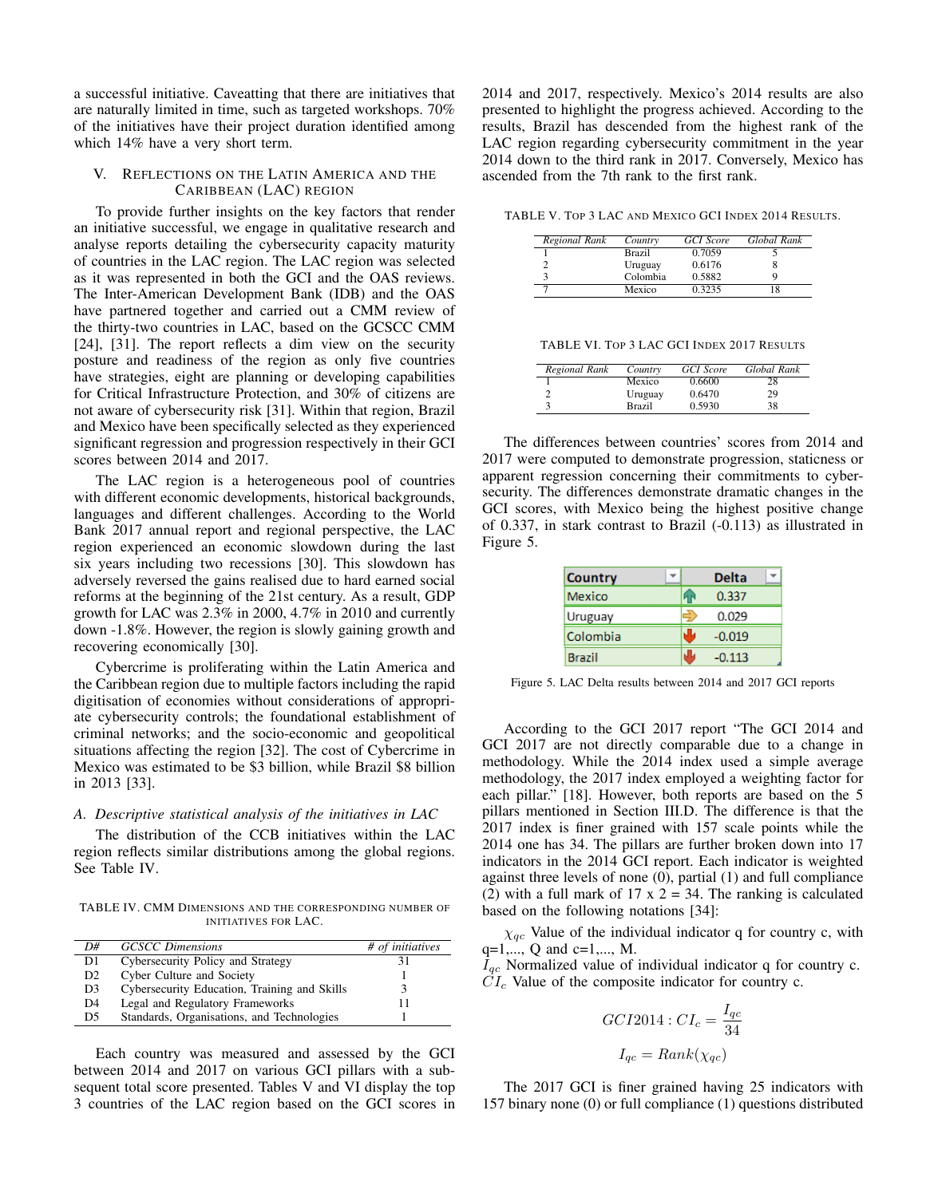a successful initiative. Caveatting that there are initiatives that are naturally limited in time, such as targeted workshops. 70% of the initiatives have their project duration identified among which 14% have a very short term.

### V. REFLECTIONS ON THE LATIN AMERICA AND THE CARIBBEAN (LAC) REGION

To provide further insights on the key factors that render an initiative successful, we engage in qualitative research and analyse reports detailing the cybersecurity capacity maturity of countries in the LAC region. The LAC region was selected as it was represented in both the GCI and the OAS reviews. The Inter-American Development Bank (IDB) and the OAS have partnered together and carried out a CMM review of the thirty-two countries in LAC, based on the GCSCC CMM [24], [31]. The report reflects a dim view on the security posture and readiness of the region as only five countries have strategies, eight are planning or developing capabilities for Critical Infrastructure Protection, and 30% of citizens are not aware of cybersecurity risk [31]. Within that region, Brazil and Mexico have been specifically selected as they experienced significant regression and progression respectively in their GCI scores between 2014 and 2017.

The LAC region is a heterogeneous pool of countries with different economic developments, historical backgrounds, languages and different challenges. According to the World Bank 2017 annual report and regional perspective, the LAC region experienced an economic slowdown during the last six years including two recessions [30]. This slowdown has adversely reversed the gains realised due to hard earned social reforms at the beginning of the 21st century. As a result, GDP growth for LAC was 2.3% in 2000, 4.7% in 2010 and currently down -1.8%. However, the region is slowly gaining growth and recovering economically [30].

Cybercrime is proliferating within the Latin America and the Caribbean region due to multiple factors including the rapid digitisation of economies without considerations of appropriate cybersecurity controls; the foundational establishment of criminal networks; and the socio-economic and geopolitical situations affecting the region [32]. The cost of Cybercrime in Mexico was estimated to be \$3 billion, while Brazil \$8 billion in 2013 [33].

# *A. Descriptive statistical analysis of the initiatives in LAC*

The distribution of the CCB initiatives within the LAC region reflects similar distributions among the global regions. See Table IV.

TABLE IV. CMM DIMENSIONS AND THE CORRESPONDING NUMBER OF INITIATIVES FOR LAC.

| D#             | <b>GCSCC</b> Dimensions                      | # of initiatives |
|----------------|----------------------------------------------|------------------|
| D1.            | Cybersecurity Policy and Strategy            |                  |
| D <sub>2</sub> | Cyber Culture and Society                    |                  |
| D <sub>3</sub> | Cybersecurity Education, Training and Skills |                  |
| D <sub>4</sub> | Legal and Regulatory Frameworks              |                  |
| D <sub>5</sub> | Standards, Organisations, and Technologies   |                  |

Each country was measured and assessed by the GCI between 2014 and 2017 on various GCI pillars with a subsequent total score presented. Tables V and VI display the top 3 countries of the LAC region based on the GCI scores in 2014 and 2017, respectively. Mexico's 2014 results are also presented to highlight the progress achieved. According to the results, Brazil has descended from the highest rank of the LAC region regarding cybersecurity commitment in the year 2014 down to the third rank in 2017. Conversely, Mexico has ascended from the 7th rank to the first rank.

TABLE V. TOP 3 LAC AND MEXICO GCI INDEX 2014 RESULTS.

| Regional Rank | Country       | <b>GCI</b> Score | Global Rank |
|---------------|---------------|------------------|-------------|
|               | <b>Brazil</b> | 0.7059           |             |
|               | Uruguay       | 0.6176           |             |
|               | Colombia      | 0.5882           |             |
|               | Mexico        | 0.3235           |             |

TABLE VI. TOP 3 LAC GCI INDEX 2017 RESULTS

| Regional Rank | Country       | GCI Score | Global Rank |
|---------------|---------------|-----------|-------------|
|               | Mexico        | 0.6600    | 28          |
|               | Uruguay       | 0.6470    | 29          |
|               | <b>Brazil</b> | 0.5930    | 38          |

The differences between countries' scores from 2014 and 2017 were computed to demonstrate progression, staticness or apparent regression concerning their commitments to cybersecurity. The differences demonstrate dramatic changes in the GCI scores, with Mexico being the highest positive change of 0.337, in stark contrast to Brazil (-0.113) as illustrated in Figure 5.

| <b>Country</b> | <b>Delta</b> |  |
|----------------|--------------|--|
| Mexico         | 0.337        |  |
| Uruguay        | 0.029        |  |
| Colombia       | $-0.019$     |  |
| Brazil         | $-0.113$     |  |

Figure 5. LAC Delta results between 2014 and 2017 GCI reports

According to the GCI 2017 report "The GCI 2014 and GCI 2017 are not directly comparable due to a change in methodology. While the 2014 index used a simple average methodology, the 2017 index employed a weighting factor for each pillar." [18]. However, both reports are based on the 5 pillars mentioned in Section III.D. The difference is that the 2017 index is finer grained with 157 scale points while the 2014 one has 34. The pillars are further broken down into 17 indicators in the 2014 GCI report. Each indicator is weighted against three levels of none (0), partial (1) and full compliance (2) with a full mark of 17 x  $2 = 34$ . The ranking is calculated based on the following notations [34]:

 $\chi_{qc}$  Value of the individual indicator q for country c, with  $q=1,..., Q$  and  $c=1,..., M$ .

 $I_{ac}$  Normalized value of individual indicator q for country c.  $CI_c$  Value of the composite indicator for country c.

$$
GCI2014 : CI_c = \frac{I_{qc}}{34}
$$

$$
I_{qc} = Rank(\chi_{qc})
$$

The 2017 GCI is finer grained having 25 indicators with 157 binary none (0) or full compliance (1) questions distributed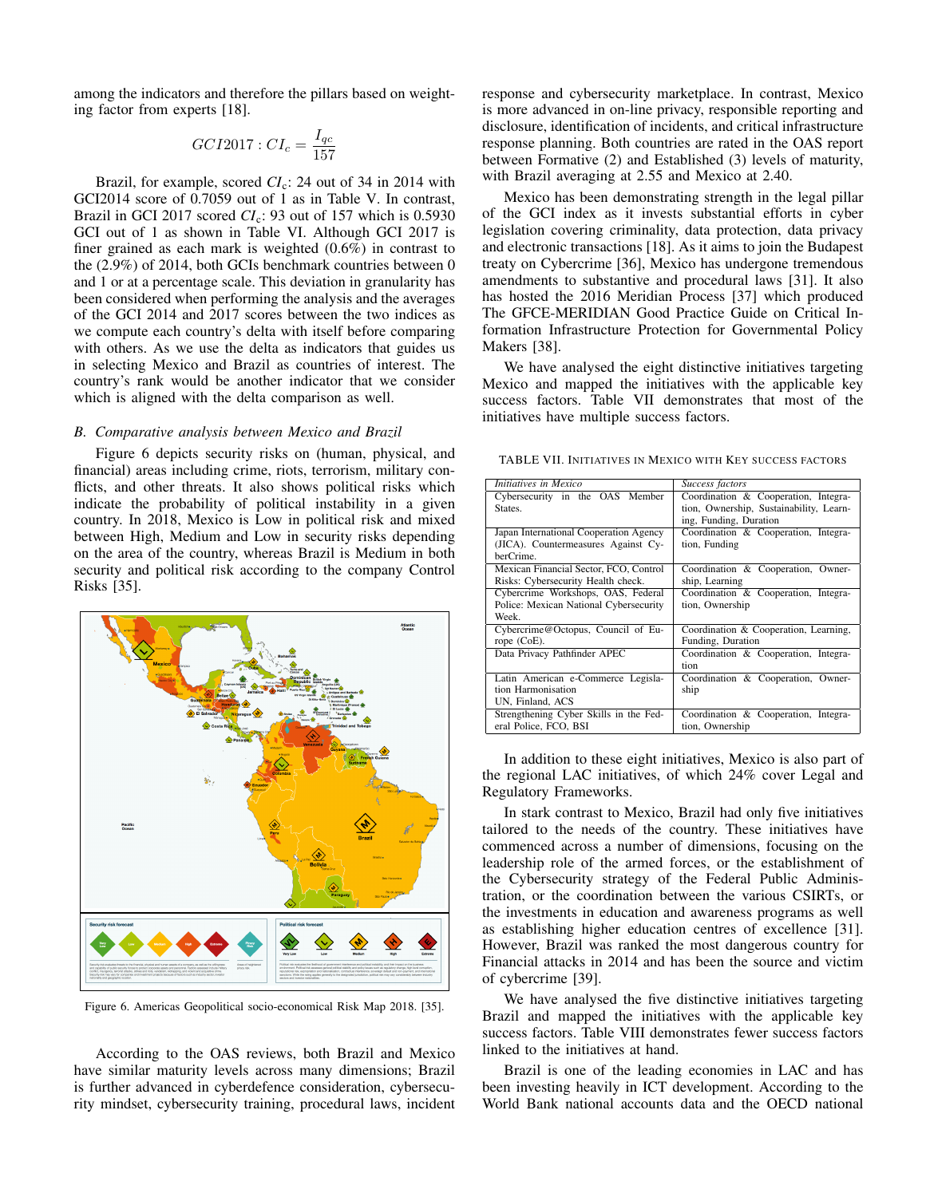among the indicators and therefore the pillars based on weighting factor from experts [18].

$$
GCI2017:CI_c = \frac{I_{qc}}{157}
$$

Brazil, for example, scored *CI*<sub>c</sub>: 24 out of 34 in 2014 with GCI2014 score of 0.7059 out of 1 as in Table V. In contrast, Brazil in GCI 2017 scored *CI*c: 93 out of 157 which is 0.5930 GCI out of 1 as shown in Table VI. Although GCI 2017 is finer grained as each mark is weighted (0.6%) in contrast to the (2.9%) of 2014, both GCIs benchmark countries between 0 and 1 or at a percentage scale. This deviation in granularity has been considered when performing the analysis and the averages of the GCI 2014 and 2017 scores between the two indices as we compute each country's delta with itself before comparing with others. As we use the delta as indicators that guides us in selecting Mexico and Brazil as countries of interest. The country's rank would be another indicator that we consider which is aligned with the delta comparison as well.

### *B. Comparative analysis between Mexico and Brazil*

Figure 6 depicts security risks on (human, physical, and financial) areas including crime, riots, terrorism, military conflicts, and other threats. It also shows political risks which indicate the probability of political instability in a given country. In 2018, Mexico is Low in political risk and mixed between High, Medium and Low in security risks depending on the area of the country, whereas Brazil is Medium in both security and political risk according to the company Control Risks [35].



Figure 6. Americas Geopolitical socio-economical Risk Map 2018. [35].

According to the OAS reviews, both Brazil and Mexico have similar maturity levels across many dimensions; Brazil is further advanced in cyberdefence consideration, cybersecurity mindset, cybersecurity training, procedural laws, incident response and cybersecurity marketplace. In contrast, Mexico is more advanced in on-line privacy, responsible reporting and disclosure, identification of incidents, and critical infrastructure response planning. Both countries are rated in the OAS report between Formative (2) and Established (3) levels of maturity, with Brazil averaging at 2.55 and Mexico at 2.40.

Mexico has been demonstrating strength in the legal pillar of the GCI index as it invests substantial efforts in cyber legislation covering criminality, data protection, data privacy and electronic transactions [18]. As it aims to join the Budapest treaty on Cybercrime [36], Mexico has undergone tremendous amendments to substantive and procedural laws [31]. It also has hosted the 2016 Meridian Process [37] which produced The GFCE-MERIDIAN Good Practice Guide on Critical Information Infrastructure Protection for Governmental Policy Makers [38].

We have analysed the eight distinctive initiatives targeting Mexico and mapped the initiatives with the applicable key success factors. Table VII demonstrates that most of the initiatives have multiple success factors.

TABLE VII. INITIATIVES IN MEXICO WITH KEY SUCCESS FACTORS

| Initiatives in Mexico                  | Success factors                         |
|----------------------------------------|-----------------------------------------|
| Cybersecurity in the OAS Member        | Coordination & Cooperation, Integra-    |
| States.                                | tion, Ownership, Sustainability, Learn- |
|                                        | ing, Funding, Duration                  |
| Japan International Cooperation Agency | Coordination & Cooperation, Integra-    |
| (JICA). Countermeasures Against Cy-    | tion, Funding                           |
| berCrime.                              |                                         |
| Mexican Financial Sector, FCO, Control | Coordination & Cooperation, Owner-      |
| Risks: Cybersecurity Health check.     | ship, Learning                          |
| Cybercrime Workshops, OAS, Federal     | Coordination & Cooperation, Integra-    |
| Police: Mexican National Cybersecurity | tion, Ownership                         |
| Week.                                  |                                         |
| Cybercrime@Octopus, Council of Eu-     | Coordination & Cooperation, Learning,   |
| rope (CoE).                            | Funding, Duration                       |
| Data Privacy Pathfinder APEC           | Coordination & Cooperation, Integra-    |
|                                        | tion                                    |
| Latin American e-Commerce Legisla-     | Coordination & Cooperation, Owner-      |
| tion Harmonisation                     | ship                                    |
| UN, Finland, ACS                       |                                         |
| Strengthening Cyber Skills in the Fed- | Coordination & Cooperation, Integra-    |
| eral Police, FCO, BSI                  | tion, Ownership                         |

In addition to these eight initiatives, Mexico is also part of the regional LAC initiatives, of which 24% cover Legal and Regulatory Frameworks.

In stark contrast to Mexico, Brazil had only five initiatives tailored to the needs of the country. These initiatives have commenced across a number of dimensions, focusing on the leadership role of the armed forces, or the establishment of the Cybersecurity strategy of the Federal Public Administration, or the coordination between the various CSIRTs, or the investments in education and awareness programs as well as establishing higher education centres of excellence [31]. However, Brazil was ranked the most dangerous country for Financial attacks in 2014 and has been the source and victim of cybercrime [39].

We have analysed the five distinctive initiatives targeting Brazil and mapped the initiatives with the applicable key success factors. Table VIII demonstrates fewer success factors linked to the initiatives at hand.

Brazil is one of the leading economies in LAC and has been investing heavily in ICT development. According to the World Bank national accounts data and the OECD national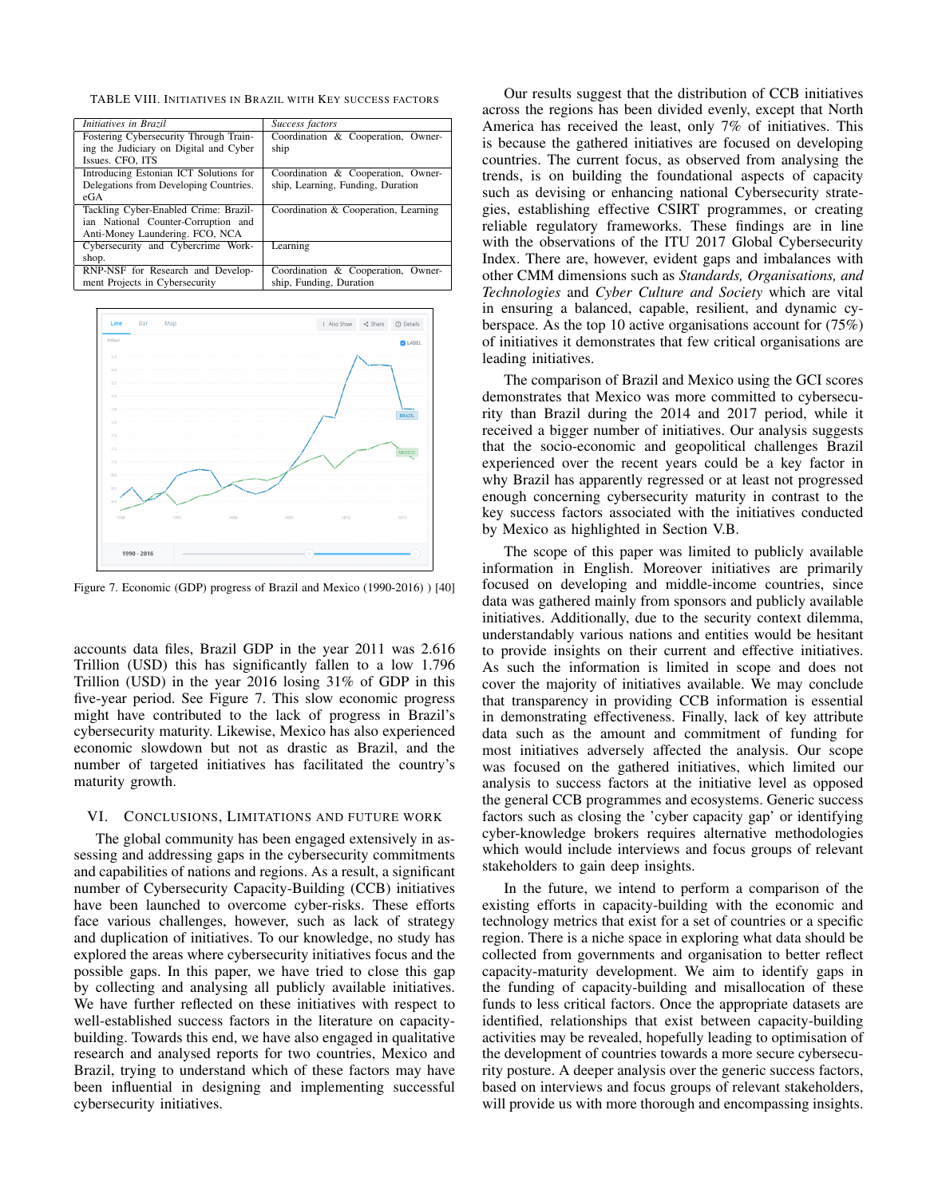TABLE VIII. INITIATIVES IN BRAZIL WITH KEY SUCCESS FACTORS

| Success factors                      |
|--------------------------------------|
| Coordination & Cooperation, Owner-   |
| ship                                 |
|                                      |
| Coordination & Cooperation, Owner-   |
| ship, Learning, Funding, Duration    |
|                                      |
| Coordination & Cooperation, Learning |
|                                      |
|                                      |
| Learning                             |
|                                      |
| Coordination & Cooperation, Owner-   |
| ship, Funding, Duration              |
|                                      |



Figure 7. Economic (GDP) progress of Brazil and Mexico (1990-2016) ) [40]

accounts data files, Brazil GDP in the year 2011 was 2.616 Trillion (USD) this has significantly fallen to a low 1.796 Trillion (USD) in the year 2016 losing 31% of GDP in this five-year period. See Figure 7. This slow economic progress might have contributed to the lack of progress in Brazil's cybersecurity maturity. Likewise, Mexico has also experienced economic slowdown but not as drastic as Brazil, and the number of targeted initiatives has facilitated the country's maturity growth.

#### VI. CONCLUSIONS, LIMITATIONS AND FUTURE WORK

The global community has been engaged extensively in assessing and addressing gaps in the cybersecurity commitments and capabilities of nations and regions. As a result, a significant number of Cybersecurity Capacity-Building (CCB) initiatives have been launched to overcome cyber-risks. These efforts face various challenges, however, such as lack of strategy and duplication of initiatives. To our knowledge, no study has explored the areas where cybersecurity initiatives focus and the possible gaps. In this paper, we have tried to close this gap by collecting and analysing all publicly available initiatives. We have further reflected on these initiatives with respect to well-established success factors in the literature on capacitybuilding. Towards this end, we have also engaged in qualitative research and analysed reports for two countries, Mexico and Brazil, trying to understand which of these factors may have been influential in designing and implementing successful cybersecurity initiatives.

Our results suggest that the distribution of CCB initiatives across the regions has been divided evenly, except that North America has received the least, only 7% of initiatives. This is because the gathered initiatives are focused on developing countries. The current focus, as observed from analysing the trends, is on building the foundational aspects of capacity such as devising or enhancing national Cybersecurity strategies, establishing effective CSIRT programmes, or creating reliable regulatory frameworks. These findings are in line with the observations of the ITU 2017 Global Cybersecurity Index. There are, however, evident gaps and imbalances with other CMM dimensions such as *Standards, Organisations, and Technologies* and *Cyber Culture and Society* which are vital in ensuring a balanced, capable, resilient, and dynamic cyberspace. As the top 10 active organisations account for (75%) of initiatives it demonstrates that few critical organisations are leading initiatives.

The comparison of Brazil and Mexico using the GCI scores demonstrates that Mexico was more committed to cybersecurity than Brazil during the 2014 and 2017 period, while it received a bigger number of initiatives. Our analysis suggests that the socio-economic and geopolitical challenges Brazil experienced over the recent years could be a key factor in why Brazil has apparently regressed or at least not progressed enough concerning cybersecurity maturity in contrast to the key success factors associated with the initiatives conducted by Mexico as highlighted in Section V.B.

The scope of this paper was limited to publicly available information in English. Moreover initiatives are primarily focused on developing and middle-income countries, since data was gathered mainly from sponsors and publicly available initiatives. Additionally, due to the security context dilemma, understandably various nations and entities would be hesitant to provide insights on their current and effective initiatives. As such the information is limited in scope and does not cover the majority of initiatives available. We may conclude that transparency in providing CCB information is essential in demonstrating effectiveness. Finally, lack of key attribute data such as the amount and commitment of funding for most initiatives adversely affected the analysis. Our scope was focused on the gathered initiatives, which limited our analysis to success factors at the initiative level as opposed the general CCB programmes and ecosystems. Generic success factors such as closing the 'cyber capacity gap' or identifying cyber-knowledge brokers requires alternative methodologies which would include interviews and focus groups of relevant stakeholders to gain deep insights.

In the future, we intend to perform a comparison of the existing efforts in capacity-building with the economic and technology metrics that exist for a set of countries or a specific region. There is a niche space in exploring what data should be collected from governments and organisation to better reflect capacity-maturity development. We aim to identify gaps in the funding of capacity-building and misallocation of these funds to less critical factors. Once the appropriate datasets are identified, relationships that exist between capacity-building activities may be revealed, hopefully leading to optimisation of the development of countries towards a more secure cybersecurity posture. A deeper analysis over the generic success factors, based on interviews and focus groups of relevant stakeholders, will provide us with more thorough and encompassing insights.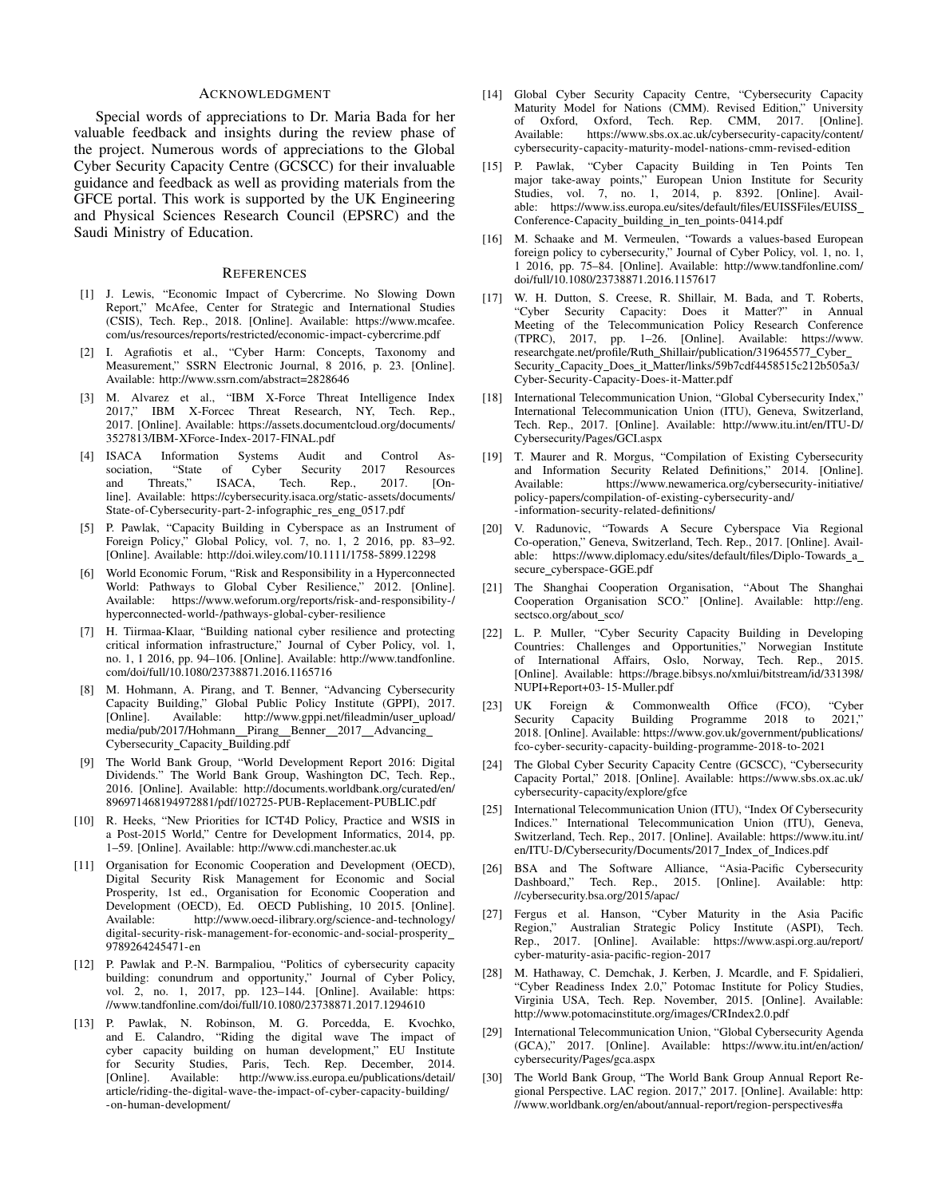#### ACKNOWLEDGMENT

Special words of appreciations to Dr. Maria Bada for her valuable feedback and insights during the review phase of the project. Numerous words of appreciations to the Global Cyber Security Capacity Centre (GCSCC) for their invaluable guidance and feedback as well as providing materials from the GFCE portal. This work is supported by the UK Engineering and Physical Sciences Research Council (EPSRC) and the Saudi Ministry of Education.

#### **REFERENCES**

- [1] J. Lewis, "Economic Impact of Cybercrime. No Slowing Down Report," McAfee, Center for Strategic and International Studies (CSIS), Tech. Rep., 2018. [Online]. Available: https://www.mcafee. com/us/resources/reports/restricted/economic-impact-cybercrime.pdf
- [2] I. Agrafiotis et al., "Cyber Harm: Concepts, Taxonomy and Measurement," SSRN Electronic Journal, 8 2016, p. 23. [Online]. Available: http://www.ssrn.com/abstract=2828646
- [3] M. Alvarez et al., "IBM X-Force Threat Intelligence Index 2017," IBM X-Forcec Threat Research, NY, Tech. Rep., 2017. [Online]. Available: https://assets.documentcloud.org/documents/ 3527813/IBM-XForce-Index-2017-FINAL.pdf
- [4] ISACA Information Systems Audit and Control Association, "State of Cyber Security 2017 Resources<br>and Threats," ISACA, Tech. Rep., 2017. [Onand Threats," ISACA, Tech. Rep., 2017. [Online]. Available: https://cybersecurity.isaca.org/static-assets/documents/ State-of-Cybersecurity-part-2-infographic\_res\_eng\_0517.pdf
- [5] P. Pawlak, "Capacity Building in Cyberspace as an Instrument of Foreign Policy," Global Policy, vol. 7, no. 1, 2 2016, pp. 83–92. [Online]. Available: http://doi.wiley.com/10.1111/1758-5899.12298
- [6] World Economic Forum, "Risk and Responsibility in a Hyperconnected World: Pathways to Global Cyber Resilience," 2012. [Online]. Available: https://www.weforum.org/reports/risk-and-responsibility-/ hyperconnected-world-/pathways-global-cyber-resilience
- [7] H. Tiirmaa-Klaar, "Building national cyber resilience and protecting critical information infrastructure," Journal of Cyber Policy, vol. 1, no. 1, 1 2016, pp. 94–106. [Online]. Available: http://www.tandfonline. com/doi/full/10.1080/23738871.2016.1165716
- [8] M. Hohmann, A. Pirang, and T. Benner, "Advancing Cybersecurity Capacity Building," Global Public Policy Institute (GPPI), 2017. [Online]. Available: http://www.gppi.net/fileadmin/user\_upload/ media/pub/2017/Hohmann\_Pirang\_Benner\_2017\_Advancing\_ Cybersecurity Capacity Building.pdf
- [9] The World Bank Group, "World Development Report 2016: Digital Dividends." The World Bank Group, Washington DC, Tech. Rep., 2016. [Online]. Available: http://documents.worldbank.org/curated/en/ 896971468194972881/pdf/102725-PUB-Replacement-PUBLIC.pdf
- [10] R. Heeks, "New Priorities for ICT4D Policy, Practice and WSIS in a Post-2015 World," Centre for Development Informatics, 2014, pp. 1–59. [Online]. Available: http://www.cdi.manchester.ac.uk
- [11] Organisation for Economic Cooperation and Development (OECD), Digital Security Risk Management for Economic and Social Prosperity, 1st ed., Organisation for Economic Cooperation and Development (OECD), Ed. OECD Publishing, 10 2015. [Online]. Available: http://www.oecd-ilibrary.org/science-and-technology/ digital-security-risk-management-for-economic-and-social-prosperity 9789264245471-en
- [12] P. Pawlak and P.-N. Barmpaliou, "Politics of cybersecurity capacity building: conundrum and opportunity," Journal of Cyber Policy, vol. 2, no. 1, 2017, pp. 123–144. [Online]. Available: https: //www.tandfonline.com/doi/full/10.1080/23738871.2017.1294610
- [13] P. Pawlak, N. Robinson, M. G. Porcedda, E. Kvochko, and E. Calandro, "Riding the digital wave The impact of cyber capacity building on human development," EU Institute for Security Studies, Paris, Tech. Rep. December, 2014. [Online]. Available: http://www.iss.europa.eu/publications/detail/ article/riding-the-digital-wave-the-impact-of-cyber-capacity-building/ -on-human-development/
- [14] Global Cyber Security Capacity Centre, "Cybersecurity Capacity Maturity Model for Nations (CMM). Revised Edition," University of Oxford, Oxford, Tech. Rep. CMM, 2017. [Online]. of Oxford, Oxford, Tech. Rep. CMM, 2017. [Online].<br>Available: https://www.sbs.ox.ac.uk/cybersecurity-capacity/content/ https://www.sbs.ox.ac.uk/cybersecurity-capacity/content/ cybersecurity-capacity-maturity-model-nations-cmm-revised-edition
- [15] P. Pawlak, "Cyber Capacity Building in Ten Points Ten major take-away points," European Union Institute for Security Studies, vol. 7, no. 1, 2014, p. 8392. [Online]. Available: https://www.iss.europa.eu/sites/default/files/EUISSFiles/EUISS Conference-Capacity\_building\_in\_ten\_points-0414.pdf
- [16] M. Schaake and M. Vermeulen, "Towards a values-based European foreign policy to cybersecurity," Journal of Cyber Policy, vol. 1, no. 1, 1 2016, pp. 75–84. [Online]. Available: http://www.tandfonline.com/ doi/full/10.1080/23738871.2016.1157617
- [17] W. H. Dutton, S. Creese, R. Shillair, M. Bada, and T. Roberts, "Cyber Security Capacity: Does it Matter?" in Annual Meeting of the Telecommunication Policy Research Conference (TPRC), 2017, pp. 1–26. [Online]. Available: https://www. researchgate.net/profile/Ruth Shillair/publication/319645577 Cyber Security Capacity Does it Matter/links/59b7cdf4458515c212b505a3/ Cyber-Security-Capacity-Does-it-Matter.pdf
- [18] International Telecommunication Union, "Global Cybersecurity Index," International Telecommunication Union (ITU), Geneva, Switzerland, Tech. Rep., 2017. [Online]. Available: http://www.itu.int/en/ITU-D/ Cybersecurity/Pages/GCI.aspx
- [19] T. Maurer and R. Morgus, "Compilation of Existing Cybersecurity and Information Security Related Definitions," 2014. [Online]. Available: https://www.newamerica.org/cybersecurity-initiative/ policy-papers/compilation-of-existing-cybersecurity-and/ -information-security-related-definitions/
- [20] V. Radunovic, "Towards A Secure Cyberspace Via Regional Co-operation," Geneva, Switzerland, Tech. Rep., 2017. [Online]. Available: https://www.diplomacy.edu/sites/default/files/Diplo-Towards a secure\_cyberspace-GGE.pdf
- [21] The Shanghai Cooperation Organisation, "About The Shanghai Cooperation Organisation SCO." [Online]. Available: http://eng. sectsco.org/about\_sco/
- [22] L. P. Muller, "Cyber Security Capacity Building in Developing Countries: Challenges and Opportunities," Norwegian Institute of International Affairs, Oslo, Norway, Tech. Rep., 2015. [Online]. Available: https://brage.bibsys.no/xmlui/bitstream/id/331398/ NUPI+Report+03-15-Muller.pdf
- [23] UK Foreign & Commonwealth Office (FCO), "Cyber Security Capacity Building Programme 2018 to 2018. [Online]. Available: https://www.gov.uk/government/publications/ fco-cyber-security-capacity-building-programme-2018-to-2021
- [24] The Global Cyber Security Capacity Centre (GCSCC), "Cybersecurity Capacity Portal," 2018. [Online]. Available: https://www.sbs.ox.ac.uk/ cybersecurity-capacity/explore/gfce
- [25] International Telecommunication Union (ITU), "Index Of Cybersecurity Indices." International Telecommunication Union (ITU), Geneva, Switzerland, Tech. Rep., 2017. [Online]. Available: https://www.itu.int/ en/ITU-D/Cybersecurity/Documents/2017\_Index\_of\_Indices.pdf
- [26] BSA and The Software Alliance, "Asia-Pacific Cybersecurity Dashboard," Tech. Rep., 2015. [Online]. Available: http: //cybersecurity.bsa.org/2015/apac/
- [27] Fergus et al. Hanson, "Cyber Maturity in the Asia Pacific Region," Australian Strategic Policy Institute (ASPI), Tech. Rep., 2017. [Online]. Available: https://www.aspi.org.au/report/ cyber-maturity-asia-pacific-region-2017
- [28] M. Hathaway, C. Demchak, J. Kerben, J. Mcardle, and F. Spidalieri, "Cyber Readiness Index 2.0," Potomac Institute for Policy Studies, Virginia USA, Tech. Rep. November, 2015. [Online]. Available: http://www.potomacinstitute.org/images/CRIndex2.0.pdf
- [29] International Telecommunication Union, "Global Cybersecurity Agenda (GCA)," 2017. [Online]. Available: https://www.itu.int/en/action/ cybersecurity/Pages/gca.aspx
- [30] The World Bank Group, "The World Bank Group Annual Report Regional Perspective. LAC region. 2017," 2017. [Online]. Available: http: //www.worldbank.org/en/about/annual-report/region-perspectives#a